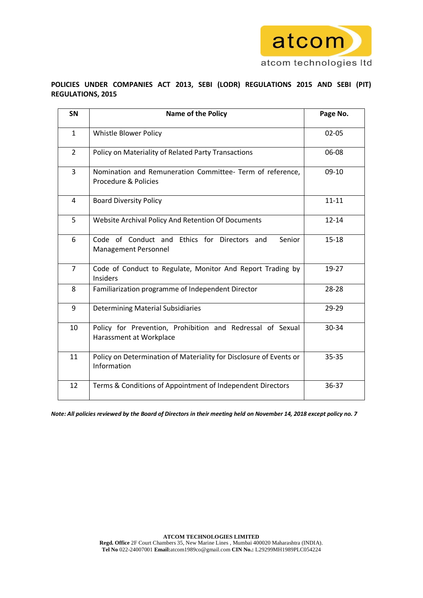

# **POLICIES UNDER COMPANIES ACT 2013, SEBI (LODR) REGULATIONS 2015 AND SEBI (PIT) REGULATIONS, 2015**

| <b>SN</b>      | <b>Name of the Policy</b>                                                             | Page No.  |
|----------------|---------------------------------------------------------------------------------------|-----------|
| $\mathbf{1}$   | Whistle Blower Policy                                                                 | $02 - 05$ |
| $\overline{2}$ | Policy on Materiality of Related Party Transactions                                   | 06-08     |
| 3              | Nomination and Remuneration Committee- Term of reference,<br>Procedure & Policies     | $09-10$   |
| 4              | <b>Board Diversity Policy</b>                                                         | $11 - 11$ |
| 5              | Website Archival Policy And Retention Of Documents                                    | $12 - 14$ |
| 6              | Code of Conduct and Ethics for Directors and<br>Senior<br>Management Personnel        | $15 - 18$ |
| $\overline{7}$ | Code of Conduct to Regulate, Monitor And Report Trading by<br><b>Insiders</b>         | 19-27     |
| 8              | Familiarization programme of Independent Director                                     | 28-28     |
| 9              | <b>Determining Material Subsidiaries</b>                                              | 29-29     |
| 10             | Policy for Prevention, Prohibition and Redressal of Sexual<br>Harassment at Workplace | 30-34     |
| 11             | Policy on Determination of Materiality for Disclosure of Events or<br>Information     | $35 - 35$ |
| 12             | Terms & Conditions of Appointment of Independent Directors                            | 36-37     |

*Note: All policies reviewed by the Board of Directors in their meeting held on November 14, 2018 except policy no. 7*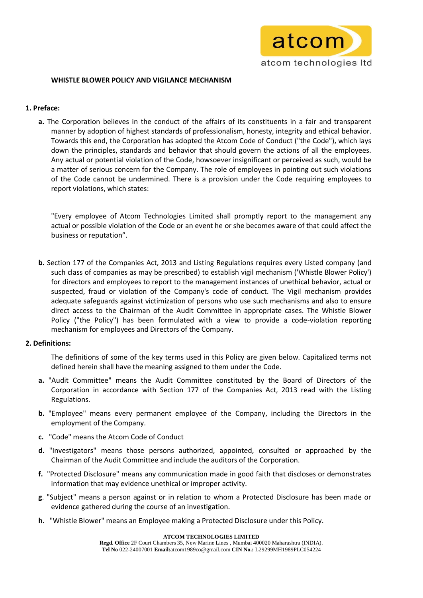

## **WHISTLE BLOWER POLICY AND VIGILANCE MECHANISM**

## **1. Preface:**

**a.** The Corporation believes in the conduct of the affairs of its constituents in a fair and transparent manner by adoption of highest standards of professionalism, honesty, integrity and ethical behavior. Towards this end, the Corporation has adopted the Atcom Code of Conduct ("the Code"), which lays down the principles, standards and behavior that should govern the actions of all the employees. Any actual or potential violation of the Code, howsoever insignificant or perceived as such, would be a matter of serious concern for the Company. The role of employees in pointing out such violations of the Code cannot be undermined. There is a provision under the Code requiring employees to report violations, which states:

"Every employee of Atcom Technologies Limited shall promptly report to the management any actual or possible violation of the Code or an event he or she becomes aware of that could affect the business or reputation".

**b.** Section 177 of the Companies Act, 2013 and Listing Regulations requires every Listed company (and such class of companies as may be prescribed) to establish vigil mechanism ('Whistle Blower Policy') for directors and employees to report to the management instances of unethical behavior, actual or suspected, fraud or violation of the Company's code of conduct. The Vigil mechanism provides adequate safeguards against victimization of persons who use such mechanisms and also to ensure direct access to the Chairman of the Audit Committee in appropriate cases. The Whistle Blower Policy ("the Policy") has been formulated with a view to provide a code-violation reporting mechanism for employees and Directors of the Company.

### **2. Definitions:**

The definitions of some of the key terms used in this Policy are given below. Capitalized terms not defined herein shall have the meaning assigned to them under the Code.

- **a.** "Audit Committee" means the Audit Committee constituted by the Board of Directors of the Corporation in accordance with Section 177 of the Companies Act, 2013 read with the Listing Regulations.
- **b.** "Employee" means every permanent employee of the Company, including the Directors in the employment of the Company.
- **c.** "Code" means the Atcom Code of Conduct
- **d.** "Investigators" means those persons authorized, appointed, consulted or approached by the Chairman of the Audit Committee and include the auditors of the Corporation.
- **f.** "Protected Disclosure" means any communication made in good faith that discloses or demonstrates information that may evidence unethical or improper activity.
- **g**. "Subject" means a person against or in relation to whom a Protected Disclosure has been made or evidence gathered during the course of an investigation.
- **h**. "Whistle Blower" means an Employee making a Protected Disclosure under this Policy.

**ATCOM TECHNOLOGIES LIMITED**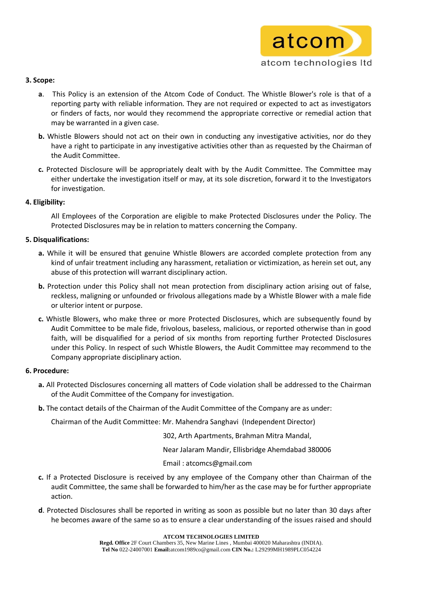

# **3. Scope:**

- **a**. This Policy is an extension of the Atcom Code of Conduct. The Whistle Blower's role is that of a reporting party with reliable information. They are not required or expected to act as investigators or finders of facts, nor would they recommend the appropriate corrective or remedial action that may be warranted in a given case.
- **b.** Whistle Blowers should not act on their own in conducting any investigative activities, nor do they have a right to participate in any investigative activities other than as requested by the Chairman of the Audit Committee.
- **c.** Protected Disclosure will be appropriately dealt with by the Audit Committee. The Committee may either undertake the investigation itself or may, at its sole discretion, forward it to the Investigators for investigation.

# **4. Eligibility:**

All Employees of the Corporation are eligible to make Protected Disclosures under the Policy. The Protected Disclosures may be in relation to matters concerning the Company.

# **5. Disqualifications:**

- **a.** While it will be ensured that genuine Whistle Blowers are accorded complete protection from any kind of unfair treatment including any harassment, retaliation or victimization, as herein set out, any abuse of this protection will warrant disciplinary action.
- **b.** Protection under this Policy shall not mean protection from disciplinary action arising out of false, reckless, maligning or unfounded or frivolous allegations made by a Whistle Blower with a male fide or ulterior intent or purpose.
- **c.** Whistle Blowers, who make three or more Protected Disclosures, which are subsequently found by Audit Committee to be male fide, frivolous, baseless, malicious, or reported otherwise than in good faith, will be disqualified for a period of six months from reporting further Protected Disclosures under this Policy. In respect of such Whistle Blowers, the Audit Committee may recommend to the Company appropriate disciplinary action.

# **6. Procedure:**

- **a.** All Protected Disclosures concerning all matters of Code violation shall be addressed to the Chairman of the Audit Committee of the Company for investigation.
- **b.** The contact details of the Chairman of the Audit Committee of the Company are as under:

Chairman of the Audit Committee: Mr. Mahendra Sanghavi (Independent Director)

302, Arth Apartments, Brahman Mitra Mandal,

Near Jalaram Mandir, Ellisbridge Ahemdabad 380006

Email : atcomcs@gmail.com

- **c.** If a Protected Disclosure is received by any employee of the Company other than Chairman of the audit Committee, the same shall be forwarded to him/her as the case may be for further appropriate action.
- **d**. Protected Disclosures shall be reported in writing as soon as possible but no later than 30 days after he becomes aware of the same so as to ensure a clear understanding of the issues raised and should

**ATCOM TECHNOLOGIES LIMITED**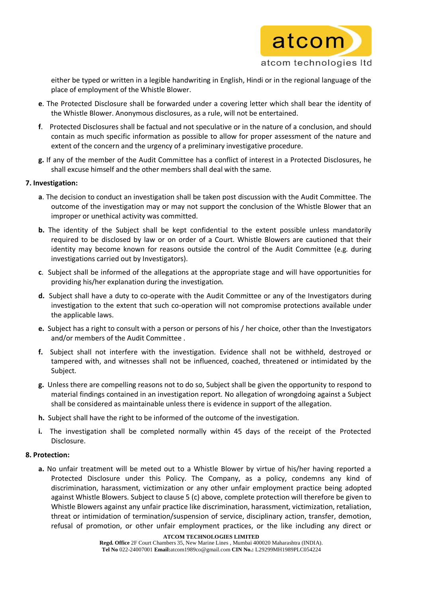

either be typed or written in a legible handwriting in English, Hindi or in the regional language of the place of employment of the Whistle Blower.

- **e**. The Protected Disclosure shall be forwarded under a covering letter which shall bear the identity of the Whistle Blower. Anonymous disclosures, as a rule, will not be entertained.
- **f**. Protected Disclosures shall be factual and not speculative or in the nature of a conclusion, and should contain as much specific information as possible to allow for proper assessment of the nature and extent of the concern and the urgency of a preliminary investigative procedure.
- **g.** If any of the member of the Audit Committee has a conflict of interest in a Protected Disclosures, he shall excuse himself and the other members shall deal with the same.

### **7. Investigation:**

- **a**. The decision to conduct an investigation shall be taken post discussion with the Audit Committee. The outcome of the investigation may or may not support the conclusion of the Whistle Blower that an improper or unethical activity was committed.
- **b.** The identity of the Subject shall be kept confidential to the extent possible unless mandatorily required to be disclosed by law or on order of a Court. Whistle Blowers are cautioned that their identity may become known for reasons outside the control of the Audit Committee (e.g. during investigations carried out by Investigators).
- **c**. Subject shall be informed of the allegations at the appropriate stage and will have opportunities for providing his/her explanation during the investigation.
- **d.** Subject shall have a duty to co-operate with the Audit Committee or any of the Investigators during investigation to the extent that such co-operation will not compromise protections available under the applicable laws.
- **e.** Subject has a right to consult with a person or persons of his / her choice, other than the Investigators and/or members of the Audit Committee .
- **f.** Subject shall not interfere with the investigation. Evidence shall not be withheld, destroyed or tampered with, and witnesses shall not be influenced, coached, threatened or intimidated by the Subject.
- **g.** Unless there are compelling reasons not to do so, Subject shall be given the opportunity to respond to material findings contained in an investigation report. No allegation of wrongdoing against a Subject shall be considered as maintainable unless there is evidence in support of the allegation.
- **h.** Subject shall have the right to be informed of the outcome of the investigation.
- **i.** The investigation shall be completed normally within 45 days of the receipt of the Protected Disclosure.

### **8. Protection:**

**a.** No unfair treatment will be meted out to a Whistle Blower by virtue of his/her having reported a Protected Disclosure under this Policy. The Company, as a policy, condemns any kind of discrimination, harassment, victimization or any other unfair employment practice being adopted against Whistle Blowers. Subject to clause 5 (c) above, complete protection will therefore be given to Whistle Blowers against any unfair practice like discrimination, harassment, victimization, retaliation, threat or intimidation of termination/suspension of service, disciplinary action, transfer, demotion, refusal of promotion, or other unfair employment practices, or the like including any direct or

**ATCOM TECHNOLOGIES LIMITED**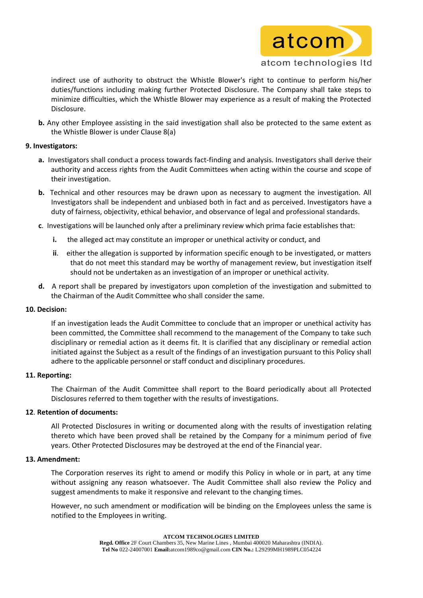

indirect use of authority to obstruct the Whistle Blower's right to continue to perform his/her duties/functions including making further Protected Disclosure. The Company shall take steps to minimize difficulties, which the Whistle Blower may experience as a result of making the Protected Disclosure.

**b.** Any other Employee assisting in the said investigation shall also be protected to the same extent as the Whistle Blower is under Clause 8(a)

## **9. Investigators:**

- **a.** Investigators shall conduct a process towards fact-finding and analysis. Investigators shall derive their authority and access rights from the Audit Committees when acting within the course and scope of their investigation.
- **b.** Technical and other resources may be drawn upon as necessary to augment the investigation. All Investigators shall be independent and unbiased both in fact and as perceived. Investigators have a duty of fairness, objectivity, ethical behavior, and observance of legal and professional standards.
- **c**. Investigations will be launched only after a preliminary review which prima facie establishes that:
	- **i.** the alleged act may constitute an improper or unethical activity or conduct, and
	- **ii**. either the allegation is supported by information specific enough to be investigated, or matters that do not meet this standard may be worthy of management review, but investigation itself should not be undertaken as an investigation of an improper or unethical activity.
- **d.** A report shall be prepared by investigators upon completion of the investigation and submitted to the Chairman of the Audit Committee who shall consider the same.

# **10. Decision:**

If an investigation leads the Audit Committee to conclude that an improper or unethical activity has been committed, the Committee shall recommend to the management of the Company to take such disciplinary or remedial action as it deems fit. It is clarified that any disciplinary or remedial action initiated against the Subject as a result of the findings of an investigation pursuant to this Policy shall adhere to the applicable personnel or staff conduct and disciplinary procedures.

# **11. Reporting:**

The Chairman of the Audit Committee shall report to the Board periodically about all Protected Disclosures referred to them together with the results of investigations.

# **12**. **Retention of documents:**

All Protected Disclosures in writing or documented along with the results of investigation relating thereto which have been proved shall be retained by the Company for a minimum period of five years. Other Protected Disclosures may be destroyed at the end of the Financial year.

### **13. Amendment:**

The Corporation reserves its right to amend or modify this Policy in whole or in part, at any time without assigning any reason whatsoever. The Audit Committee shall also review the Policy and suggest amendments to make it responsive and relevant to the changing times.

However, no such amendment or modification will be binding on the Employees unless the same is notified to the Employees in writing.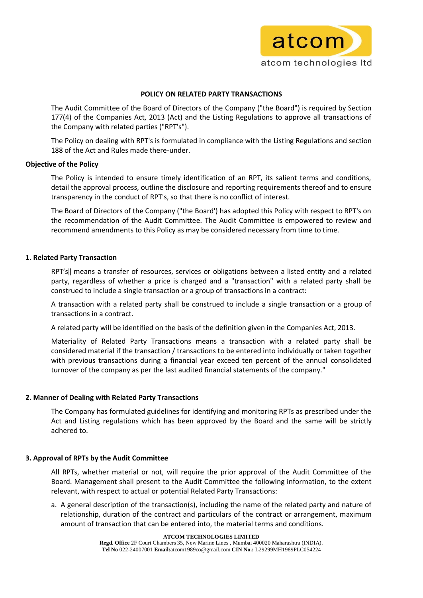

### **POLICY ON RELATED PARTY TRANSACTIONS**

The Audit Committee of the Board of Directors of the Company ("the Board") is required by Section 177(4) of the Companies Act, 2013 (Act) and the Listing Regulations to approve all transactions of the Company with related parties ("RPT's").

The Policy on dealing with RPT's is formulated in compliance with the Listing Regulations and section 188 of the Act and Rules made there-under.

### **Objective of the Policy**

The Policy is intended to ensure timely identification of an RPT, its salient terms and conditions, detail the approval process, outline the disclosure and reporting requirements thereof and to ensure transparency in the conduct of RPT's, so that there is no conflict of interest.

The Board of Directors of the Company ("the Board') has adopted this Policy with respect to RPT's on the recommendation of the Audit Committee. The Audit Committee is empowered to review and recommend amendments to this Policy as may be considered necessary from time to time.

### **1. Related Party Transaction**

RPT's‖ means a transfer of resources, services or obligations between a listed entity and a related party, regardless of whether a price is charged and a "transaction" with a related party shall be construed to include a single transaction or a group of transactions in a contract:

A transaction with a related party shall be construed to include a single transaction or a group of transactions in a contract.

A related party will be identified on the basis of the definition given in the Companies Act, 2013.

Materiality of Related Party Transactions means a transaction with a related party shall be considered material if the transaction / transactions to be entered into individually or taken together with previous transactions during a financial year exceed ten percent of the annual consolidated turnover of the company as per the last audited financial statements of the company."

# **2. Manner of Dealing with Related Party Transactions**

The Company has formulated guidelines for identifying and monitoring RPTs as prescribed under the Act and Listing regulations which has been approved by the Board and the same will be strictly adhered to.

# **3. Approval of RPTs by the Audit Committee**

All RPTs, whether material or not, will require the prior approval of the Audit Committee of the Board. Management shall present to the Audit Committee the following information, to the extent relevant, with respect to actual or potential Related Party Transactions:

a. A general description of the transaction(s), including the name of the related party and nature of relationship, duration of the contract and particulars of the contract or arrangement, maximum amount of transaction that can be entered into, the material terms and conditions.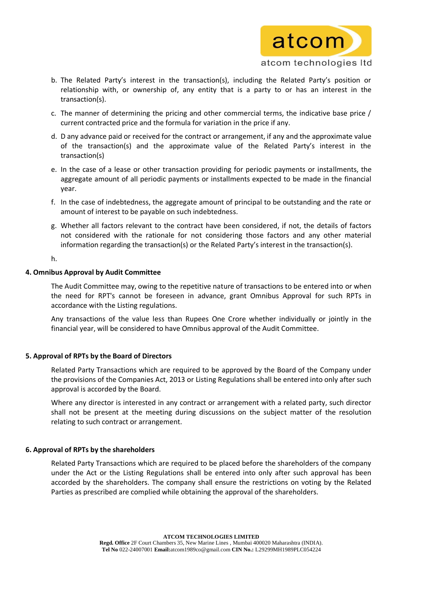

- b. The Related Party's interest in the transaction(s), including the Related Party's position or relationship with, or ownership of, any entity that is a party to or has an interest in the transaction(s).
- c. The manner of determining the pricing and other commercial terms, the indicative base price / current contracted price and the formula for variation in the price if any.
- d. D any advance paid or received for the contract or arrangement, if any and the approximate value of the transaction(s) and the approximate value of the Related Party's interest in the transaction(s)
- e. In the case of a lease or other transaction providing for periodic payments or installments, the aggregate amount of all periodic payments or installments expected to be made in the financial year.
- f. In the case of indebtedness, the aggregate amount of principal to be outstanding and the rate or amount of interest to be payable on such indebtedness.
- g. Whether all factors relevant to the contract have been considered, if not, the details of factors not considered with the rationale for not considering those factors and any other material information regarding the transaction(s) or the Related Party's interest in the transaction(s).

h.

### **4. Omnibus Approval by Audit Committee**

The Audit Committee may, owing to the repetitive nature of transactions to be entered into or when the need for RPT's cannot be foreseen in advance, grant Omnibus Approval for such RPTs in accordance with the Listing regulations.

Any transactions of the value less than Rupees One Crore whether individually or jointly in the financial year, will be considered to have Omnibus approval of the Audit Committee.

# **5. Approval of RPTs by the Board of Directors**

Related Party Transactions which are required to be approved by the Board of the Company under the provisions of the Companies Act, 2013 or Listing Regulations shall be entered into only after such approval is accorded by the Board.

Where any director is interested in any contract or arrangement with a related party, such director shall not be present at the meeting during discussions on the subject matter of the resolution relating to such contract or arrangement.

### **6. Approval of RPTs by the shareholders**

Related Party Transactions which are required to be placed before the shareholders of the company under the Act or the Listing Regulations shall be entered into only after such approval has been accorded by the shareholders. The company shall ensure the restrictions on voting by the Related Parties as prescribed are complied while obtaining the approval of the shareholders.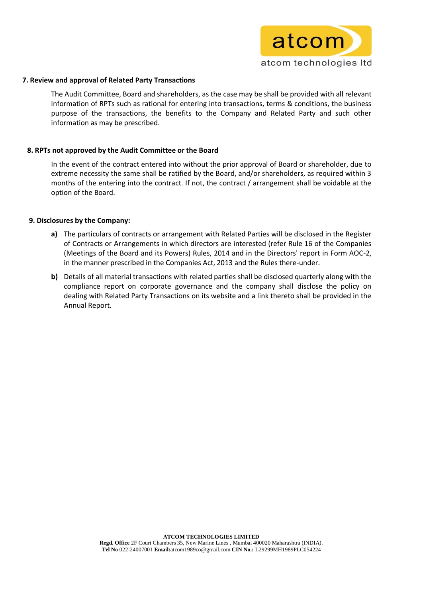

### **7. Review and approval of Related Party Transactions**

The Audit Committee, Board and shareholders, as the case may be shall be provided with all relevant information of RPTs such as rational for entering into transactions, terms & conditions, the business purpose of the transactions, the benefits to the Company and Related Party and such other information as may be prescribed.

### **8. RPTs not approved by the Audit Committee or the Board**

In the event of the contract entered into without the prior approval of Board or shareholder, due to extreme necessity the same shall be ratified by the Board, and/or shareholders, as required within 3 months of the entering into the contract. If not, the contract / arrangement shall be voidable at the option of the Board.

### **9. Disclosures by the Company:**

- **a)** The particulars of contracts or arrangement with Related Parties will be disclosed in the Register of Contracts or Arrangements in which directors are interested (refer Rule 16 of the Companies (Meetings of the Board and its Powers) Rules, 2014 and in the Directors' report in Form AOC-2, in the manner prescribed in the Companies Act, 2013 and the Rules there-under.
- **b)** Details of all material transactions with related parties shall be disclosed quarterly along with the compliance report on corporate governance and the company shall disclose the policy on dealing with Related Party Transactions on its website and a link thereto shall be provided in the Annual Report.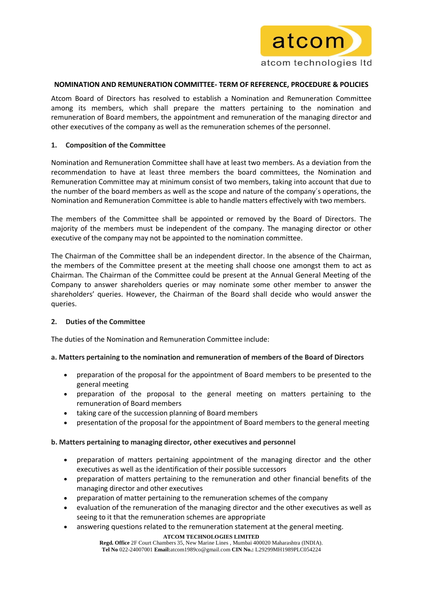

### **NOMINATION AND REMUNERATION COMMITTEE- TERM OF REFERENCE, PROCEDURE & POLICIES**

Atcom Board of Directors has resolved to establish a Nomination and Remuneration Committee among its members, which shall prepare the matters pertaining to the nomination and remuneration of Board members, the appointment and remuneration of the managing director and other executives of the company as well as the remuneration schemes of the personnel.

## **1. Composition of the Committee**

Nomination and Remuneration Committee shall have at least two members. As a deviation from the recommendation to have at least three members the board committees, the Nomination and Remuneration Committee may at minimum consist of two members, taking into account that due to the number of the board members as well as the scope and nature of the company´s operations, the Nomination and Remuneration Committee is able to handle matters effectively with two members.

The members of the Committee shall be appointed or removed by the Board of Directors. The majority of the members must be independent of the company. The managing director or other executive of the company may not be appointed to the nomination committee.

The Chairman of the Committee shall be an independent director. In the absence of the Chairman, the members of the Committee present at the meeting shall choose one amongst them to act as Chairman. The Chairman of the Committee could be present at the Annual General Meeting of the Company to answer shareholders queries or may nominate some other member to answer the shareholders' queries. However, the Chairman of the Board shall decide who would answer the queries.

# **2. Duties of the Committee**

The duties of the Nomination and Remuneration Committee include:

# **a. Matters pertaining to the nomination and remuneration of members of the Board of Directors**

- preparation of the proposal for the appointment of Board members to be presented to the general meeting
- preparation of the proposal to the general meeting on matters pertaining to the remuneration of Board members
- taking care of the succession planning of Board members
- presentation of the proposal for the appointment of Board members to the general meeting

# **b. Matters pertaining to managing director, other executives and personnel**

- preparation of matters pertaining appointment of the managing director and the other executives as well as the identification of their possible successors
- preparation of matters pertaining to the remuneration and other financial benefits of the managing director and other executives
- preparation of matter pertaining to the remuneration schemes of the company
- evaluation of the remuneration of the managing director and the other executives as well as seeing to it that the remuneration schemes are appropriate
- answering questions related to the remuneration statement at the general meeting.

#### **ATCOM TECHNOLOGIES LIMITED**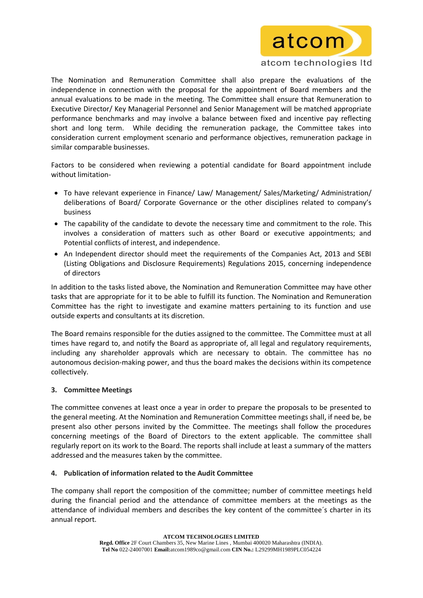

The Nomination and Remuneration Committee shall also prepare the evaluations of the independence in connection with the proposal for the appointment of Board members and the annual evaluations to be made in the meeting. The Committee shall ensure that Remuneration to Executive Director/ Key Managerial Personnel and Senior Management will be matched appropriate performance benchmarks and may involve a balance between fixed and incentive pay reflecting short and long term. While deciding the remuneration package, the Committee takes into consideration current employment scenario and performance objectives, remuneration package in similar comparable businesses.

Factors to be considered when reviewing a potential candidate for Board appointment include without limitation-

- To have relevant experience in Finance/ Law/ Management/ Sales/Marketing/ Administration/ deliberations of Board/ Corporate Governance or the other disciplines related to company's business
- The capability of the candidate to devote the necessary time and commitment to the role. This involves a consideration of matters such as other Board or executive appointments; and Potential conflicts of interest, and independence.
- An Independent director should meet the requirements of the Companies Act, 2013 and SEBI (Listing Obligations and Disclosure Requirements) Regulations 2015, concerning independence of directors

In addition to the tasks listed above, the Nomination and Remuneration Committee may have other tasks that are appropriate for it to be able to fulfill its function. The Nomination and Remuneration Committee has the right to investigate and examine matters pertaining to its function and use outside experts and consultants at its discretion.

The Board remains responsible for the duties assigned to the committee. The Committee must at all times have regard to, and notify the Board as appropriate of, all legal and regulatory requirements, including any shareholder approvals which are necessary to obtain. The committee has no autonomous decision-making power, and thus the board makes the decisions within its competence collectively.

# **3. Committee Meetings**

The committee convenes at least once a year in order to prepare the proposals to be presented to the general meeting. At the Nomination and Remuneration Committee meetings shall, if need be, be present also other persons invited by the Committee. The meetings shall follow the procedures concerning meetings of the Board of Directors to the extent applicable. The committee shall regularly report on its work to the Board. The reports shall include at least a summary of the matters addressed and the measures taken by the committee.

# **4. Publication of information related to the Audit Committee**

The company shall report the composition of the committee; number of committee meetings held during the financial period and the attendance of committee members at the meetings as the attendance of individual members and describes the key content of the committee´s charter in its annual report.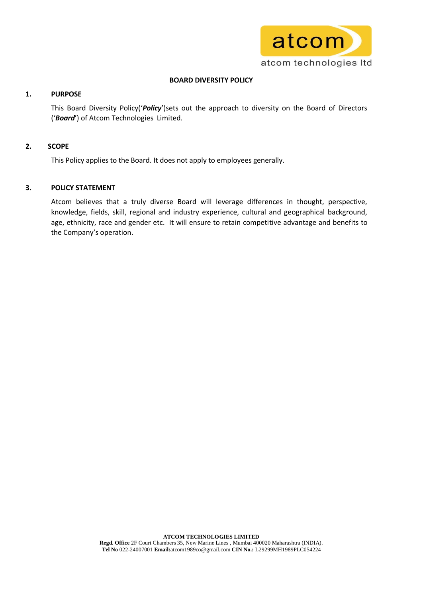

# **BOARD DIVERSITY POLICY**

# **1. PURPOSE**

This Board Diversity Policy('*Policy*')sets out the approach to diversity on the Board of Directors ('*Board*') of Atcom Technologies Limited.

# **2. SCOPE**

This Policy applies to the Board. It does not apply to employees generally.

# **3. POLICY STATEMENT**

Atcom believes that a truly diverse Board will leverage differences in thought, perspective, knowledge, fields, skill, regional and industry experience, cultural and geographical background, age, ethnicity, race and gender etc. It will ensure to retain competitive advantage and benefits to the Company's operation.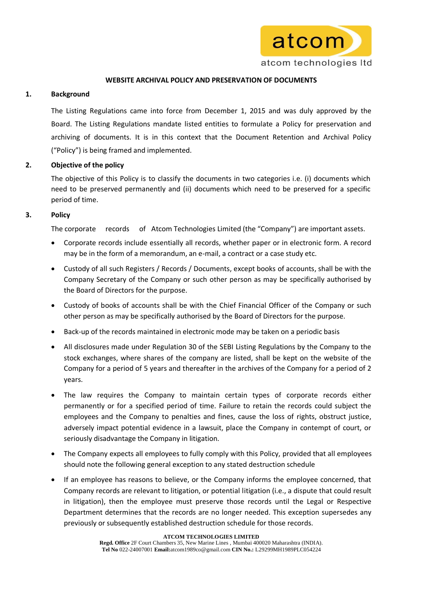

# **WEBSITE ARCHIVAL POLICY AND PRESERVATION OF DOCUMENTS**

### **1. Background**

The Listing Regulations came into force from December 1, 2015 and was duly approved by the Board. The Listing Regulations mandate listed entities to formulate a Policy for preservation and archiving of documents. It is in this context that the Document Retention and Archival Policy ("Policy") is being framed and implemented.

# **2. Objective of the policy**

The objective of this Policy is to classify the documents in two categories i.e. (i) documents which need to be preserved permanently and (ii) documents which need to be preserved for a specific period of time.

# **3. Policy**

The corporate records of Atcom Technologies Limited (the "Company") are important assets.

- Corporate records include essentially all records, whether paper or in electronic form. A record may be in the form of a memorandum, an e-mail, a contract or a case study etc.
- Custody of all such Registers / Records / Documents, except books of accounts, shall be with the Company Secretary of the Company or such other person as may be specifically authorised by the Board of Directors for the purpose.
- Custody of books of accounts shall be with the Chief Financial Officer of the Company or such other person as may be specifically authorised by the Board of Directors for the purpose.
- Back-up of the records maintained in electronic mode may be taken on a periodic basis
- All disclosures made under Regulation 30 of the SEBI Listing Regulations by the Company to the stock exchanges, where shares of the company are listed, shall be kept on the website of the Company for a period of 5 years and thereafter in the archives of the Company for a period of 2 years.
- The law requires the Company to maintain certain types of corporate records either permanently or for a specified period of time. Failure to retain the records could subject the employees and the Company to penalties and fines, cause the loss of rights, obstruct justice, adversely impact potential evidence in a lawsuit, place the Company in contempt of court, or seriously disadvantage the Company in litigation.
- The Company expects all employees to fully comply with this Policy, provided that all employees should note the following general exception to any stated destruction schedule
- If an employee has reasons to believe, or the Company informs the employee concerned, that Company records are relevant to litigation, or potential litigation (i.e., a dispute that could result in litigation), then the employee must preserve those records until the Legal or Respective Department determines that the records are no longer needed. This exception supersedes any previously or subsequently established destruction schedule for those records.

**ATCOM TECHNOLOGIES LIMITED**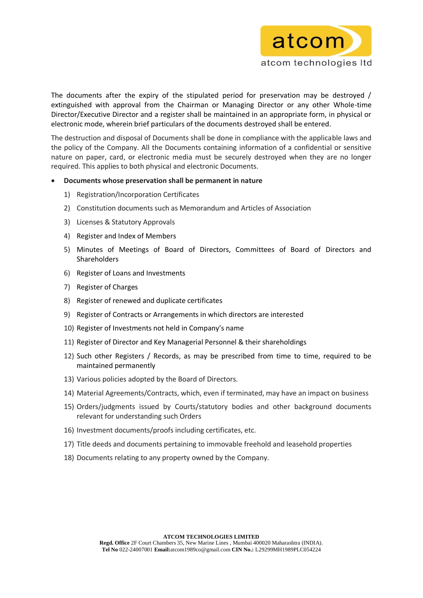

The documents after the expiry of the stipulated period for preservation may be destroyed / extinguished with approval from the Chairman or Managing Director or any other Whole-time Director/Executive Director and a register shall be maintained in an appropriate form, in physical or electronic mode, wherein brief particulars of the documents destroyed shall be entered.

The destruction and disposal of Documents shall be done in compliance with the applicable laws and the policy of the Company. All the Documents containing information of a confidential or sensitive nature on paper, card, or electronic media must be securely destroyed when they are no longer required. This applies to both physical and electronic Documents.

### **Documents whose preservation shall be permanent in nature**

- 1) Registration/Incorporation Certificates
- 2) Constitution documents such as Memorandum and Articles of Association
- 3) Licenses & Statutory Approvals
- 4) Register and Index of Members
- 5) Minutes of Meetings of Board of Directors, Committees of Board of Directors and Shareholders
- 6) Register of Loans and Investments
- 7) Register of Charges
- 8) Register of renewed and duplicate certificates
- 9) Register of Contracts or Arrangements in which directors are interested
- 10) Register of Investments not held in Company's name
- 11) Register of Director and Key Managerial Personnel & their shareholdings
- 12) Such other Registers / Records, as may be prescribed from time to time, required to be maintained permanently
- 13) Various policies adopted by the Board of Directors.
- 14) Material Agreements/Contracts, which, even if terminated, may have an impact on business
- 15) Orders/judgments issued by Courts/statutory bodies and other background documents relevant for understanding such Orders
- 16) Investment documents/proofs including certificates, etc.
- 17) Title deeds and documents pertaining to immovable freehold and leasehold properties
- 18) Documents relating to any property owned by the Company.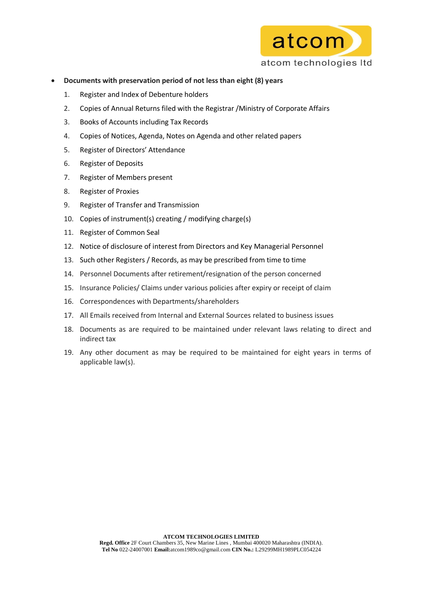

- **Documents with preservation period of not less than eight (8) years**
	- 1. Register and Index of Debenture holders
	- 2. Copies of Annual Returns filed with the Registrar /Ministry of Corporate Affairs
	- 3. Books of Accounts including Tax Records
	- 4. Copies of Notices, Agenda, Notes on Agenda and other related papers
	- 5. Register of Directors' Attendance
	- 6. Register of Deposits
	- 7. Register of Members present
	- 8. Register of Proxies
	- 9. Register of Transfer and Transmission
	- 10. Copies of instrument(s) creating / modifying charge(s)
	- 11. Register of Common Seal
	- 12. Notice of disclosure of interest from Directors and Key Managerial Personnel
	- 13. Such other Registers / Records, as may be prescribed from time to time
	- 14. Personnel Documents after retirement/resignation of the person concerned
	- 15. Insurance Policies/ Claims under various policies after expiry or receipt of claim
	- 16. Correspondences with Departments/shareholders
	- 17. All Emails received from Internal and External Sources related to business issues
	- 18. Documents as are required to be maintained under relevant laws relating to direct and indirect tax
	- 19. Any other document as may be required to be maintained for eight years in terms of applicable law(s).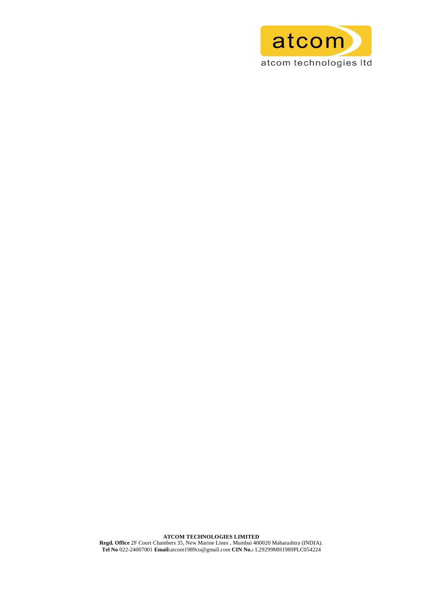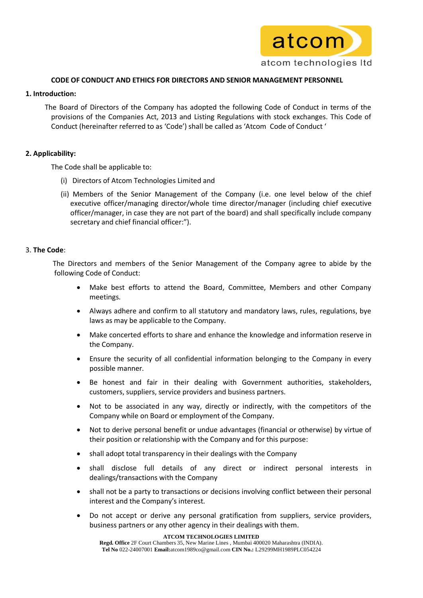

## **CODE OF CONDUCT AND ETHICS FOR DIRECTORS AND SENIOR MANAGEMENT PERSONNEL**

### **1. Introduction:**

 The Board of Directors of the Company has adopted the following Code of Conduct in terms of the provisions of the Companies Act, 2013 and Listing Regulations with stock exchanges. This Code of Conduct (hereinafter referred to as 'Code') shall be called as 'Atcom Code of Conduct '

# **2. Applicability:**

The Code shall be applicable to:

- (i) Directors of Atcom Technologies Limited and
- (ii) Members of the Senior Management of the Company (i.e. one level below of the chief executive officer/managing director/whole time director/manager (including chief executive officer/manager, in case they are not part of the board) and shall specifically include company secretary and chief financial officer:").

### 3. **The Code**:

The Directors and members of the Senior Management of the Company agree to abide by the following Code of Conduct:

- Make best efforts to attend the Board, Committee, Members and other Company meetings.
- Always adhere and confirm to all statutory and mandatory laws, rules, regulations, bye laws as may be applicable to the Company.
- Make concerted efforts to share and enhance the knowledge and information reserve in the Company.
- Ensure the security of all confidential information belonging to the Company in every possible manner.
- Be honest and fair in their dealing with Government authorities, stakeholders, customers, suppliers, service providers and business partners.
- Not to be associated in any way, directly or indirectly, with the competitors of the Company while on Board or employment of the Company.
- Not to derive personal benefit or undue advantages (financial or otherwise) by virtue of their position or relationship with the Company and for this purpose:
- shall adopt total transparency in their dealings with the Company
- shall disclose full details of any direct or indirect personal interests in dealings/transactions with the Company
- shall not be a party to transactions or decisions involving conflict between their personal interest and the Company's interest.
- Do not accept or derive any personal gratification from suppliers, service providers, business partners or any other agency in their dealings with them.

**ATCOM TECHNOLOGIES LIMITED**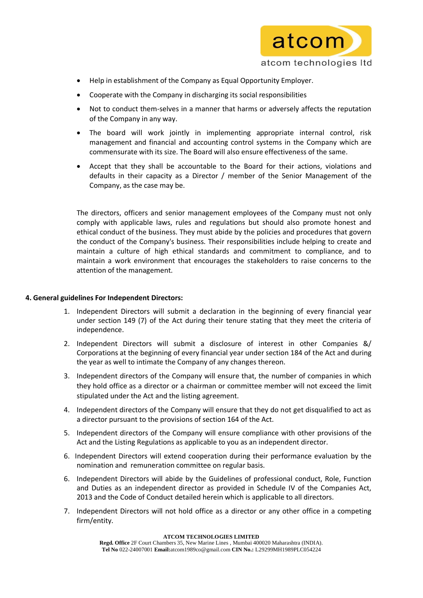

- Help in establishment of the Company as Equal Opportunity Employer.
- Cooperate with the Company in discharging its social responsibilities
- Not to conduct them-selves in a manner that harms or adversely affects the reputation of the Company in any way.
- The board will work jointly in implementing appropriate internal control, risk management and financial and accounting control systems in the Company which are commensurate with its size. The Board will also ensure effectiveness of the same.
- Accept that they shall be accountable to the Board for their actions, violations and defaults in their capacity as a Director / member of the Senior Management of the Company, as the case may be.

The directors, officers and senior management employees of the Company must not only comply with applicable laws, rules and regulations but should also promote honest and ethical conduct of the business. They must abide by the policies and procedures that govern the conduct of the Company's business. Their responsibilities include helping to create and maintain a culture of high ethical standards and commitment to compliance, and to maintain a work environment that encourages the stakeholders to raise concerns to the attention of the management.

## **4. General guidelines For Independent Directors:**

- 1. Independent Directors will submit a declaration in the beginning of every financial year under section 149 (7) of the Act during their tenure stating that they meet the criteria of independence.
- 2. Independent Directors will submit a disclosure of interest in other Companies &/ Corporations at the beginning of every financial year under section 184 of the Act and during the year as well to intimate the Company of any changes thereon.
- 3. Independent directors of the Company will ensure that, the number of companies in which they hold office as a director or a chairman or committee member will not exceed the limit stipulated under the Act and the listing agreement.
- 4. Independent directors of the Company will ensure that they do not get disqualified to act as a director pursuant to the provisions of section 164 of the Act.
- 5. Independent directors of the Company will ensure compliance with other provisions of the Act and the Listing Regulations as applicable to you as an independent director.
- 6. Independent Directors will extend cooperation during their performance evaluation by the nomination and remuneration committee on regular basis.
- 6. Independent Directors will abide by the Guidelines of professional conduct, Role, Function and Duties as an independent director as provided in Schedule IV of the Companies Act, 2013 and the Code of Conduct detailed herein which is applicable to all directors.
- 7. Independent Directors will not hold office as a director or any other office in a competing firm/entity.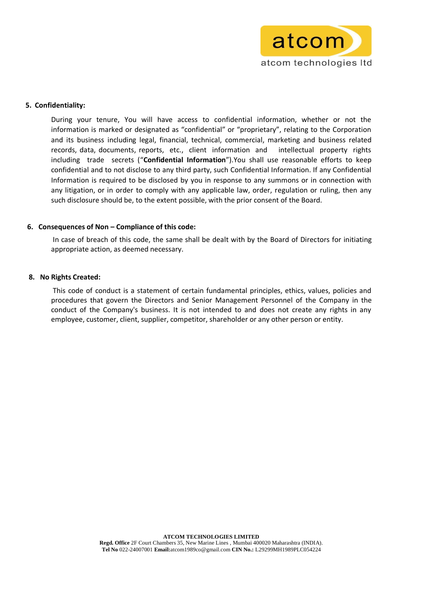

### **5. Confidentiality:**

During your tenure, You will have access to confidential information, whether or not the information is marked or designated as "confidential" or "proprietary", relating to the Corporation and its business including legal, financial, technical, commercial, marketing and business related records, data, documents, reports, etc., client information and intellectual property rights including trade secrets ("**Confidential Information**").You shall use reasonable efforts to keep confidential and to not disclose to any third party, such Confidential Information. If any Confidential Information is required to be disclosed by you in response to any summons or in connection with any litigation, or in order to comply with any applicable law, order, regulation or ruling, then any such disclosure should be, to the extent possible, with the prior consent of the Board.

### **6. Consequences of Non – Compliance of this code:**

In case of breach of this code, the same shall be dealt with by the Board of Directors for initiating appropriate action, as deemed necessary.

### **8. No Rights Created:**

This code of conduct is a statement of certain fundamental principles, ethics, values, policies and procedures that govern the Directors and Senior Management Personnel of the Company in the conduct of the Company's business. It is not intended to and does not create any rights in any employee, customer, client, supplier, competitor, shareholder or any other person or entity.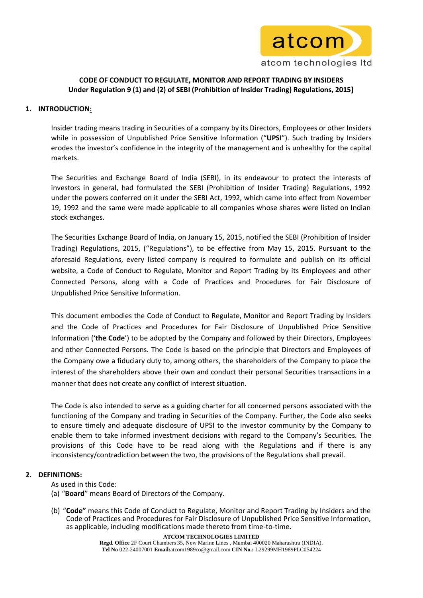

# **CODE OF CONDUCT TO REGULATE, MONITOR AND REPORT TRADING BY INSIDERS Under Regulation 9 (1) and (2) of SEBI (Prohibition of Insider Trading) Regulations, 2015]**

# **1. INTRODUCTION:**

Insider trading means trading in Securities of a company by its Directors, Employees or other Insiders while in possession of Unpublished Price Sensitive Information ("**UPSI**"). Such trading by Insiders erodes the investor's confidence in the integrity of the management and is unhealthy for the capital markets.

The Securities and Exchange Board of India (SEBI), in its endeavour to protect the interests of investors in general, had formulated the SEBI (Prohibition of Insider Trading) Regulations, 1992 under the powers conferred on it under the SEBI Act, 1992, which came into effect from November 19, 1992 and the same were made applicable to all companies whose shares were listed on Indian stock exchanges.

The Securities Exchange Board of India, on January 15, 2015, notified the SEBI (Prohibition of Insider Trading) Regulations, 2015, ("Regulations"), to be effective from May 15, 2015. Pursuant to the aforesaid Regulations, every listed company is required to formulate and publish on its official website, a Code of Conduct to Regulate, Monitor and Report Trading by its Employees and other Connected Persons, along with a Code of Practices and Procedures for Fair Disclosure of Unpublished Price Sensitive Information.

This document embodies the Code of Conduct to Regulate, Monitor and Report Trading by Insiders and the Code of Practices and Procedures for Fair Disclosure of Unpublished Price Sensitive Information ('**the Code**') to be adopted by the Company and followed by their Directors, Employees and other Connected Persons. The Code is based on the principle that Directors and Employees of the Company owe a fiduciary duty to, among others, the shareholders of the Company to place the interest of the shareholders above their own and conduct their personal Securities transactions in a manner that does not create any conflict of interest situation.

The Code is also intended to serve as a guiding charter for all concerned persons associated with the functioning of the Company and trading in Securities of the Company. Further, the Code also seeks to ensure timely and adequate disclosure of UPSI to the investor community by the Company to enable them to take informed investment decisions with regard to the Company's Securities. The provisions of this Code have to be read along with the Regulations and if there is any inconsistency/contradiction between the two, the provisions of the Regulations shall prevail.

# **2. DEFINITIONS:**

- As used in this Code:
- (a) "**Board**" means Board of Directors of the Company.
- (b) "**Code"** means this Code of Conduct to Regulate, Monitor and Report Trading by Insiders and the Code of Practices and Procedures for Fair Disclosure of Unpublished Price Sensitive Information, as applicable, including modifications made thereto from time-to-time.

#### **ATCOM TECHNOLOGIES LIMITED**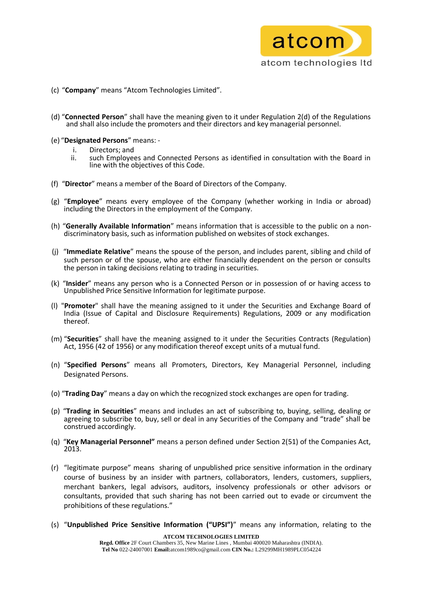

- (c) "**Company**" means "Atcom Technologies Limited".
- (d) "**Connected Person**" shall have the meaning given to it under Regulation 2(d) of the Regulations and shall also include the promoters and their directors and key managerial personnel.
- (e) "**Designated Persons**" means:
	-
	- i. Directors; and<br>ii. such Employee such Employees and Connected Persons as identified in consultation with the Board in line with the objectives of this Code.
- (f) "**Director**" means a member of the Board of Directors of the Company.
- (g) "**Employee**" means every employee of the Company (whether working in India or abroad) including the Directors in the employment of the Company.
- (h) "**Generally Available Information**" means information that is accessible to the public on a nondiscriminatory basis, such as information published on websites of stock exchanges.
- (j) "**Immediate Relative**" means the spouse of the person, and includes parent, sibling and child of such person or of the spouse, who are either financially dependent on the person or consults the person in taking decisions relating to trading in securities.
- (k) "**Insider**" means any person who is a Connected Person or in possession of or having access to Unpublished Price Sensitive Information for legitimate purpose.
- (l) "**Promoter**" shall have the meaning assigned to it under the Securities and Exchange Board of India (Issue of Capital and Disclosure Requirements) Regulations, 2009 or any modification thereof.
- (m) "**Securities**" shall have the meaning assigned to it under the Securities Contracts (Regulation) Act, 1956 (42 of 1956) or any modification thereof except units of a mutual fund.
- (n) "**Specified Persons**" means all Promoters, Directors, Key Managerial Personnel, including Designated Persons.
- (o) "**Trading Day**" means a day on which the recognized stock exchanges are open for trading.
- (p) "**Trading in Securities**" means and includes an act of subscribing to, buying, selling, dealing or agreeing to subscribe to, buy, sell or deal in any Securities of the Company and "trade" shall be construed accordingly.
- (q) "**Key Managerial Personnel"** means a person defined under Section 2(51) of the Companies Act, 2013.
- (r) "legitimate purpose" means sharing of unpublished price sensitive information in the ordinary course of business by an insider with partners, collaborators, lenders, customers, suppliers, merchant bankers, legal advisors, auditors, insolvency professionals or other advisors or consultants, provided that such sharing has not been carried out to evade or circumvent the prohibitions of these regulations."
- (s) "**Unpublished Price Sensitive Information ("UPSI")**" means any information, relating to the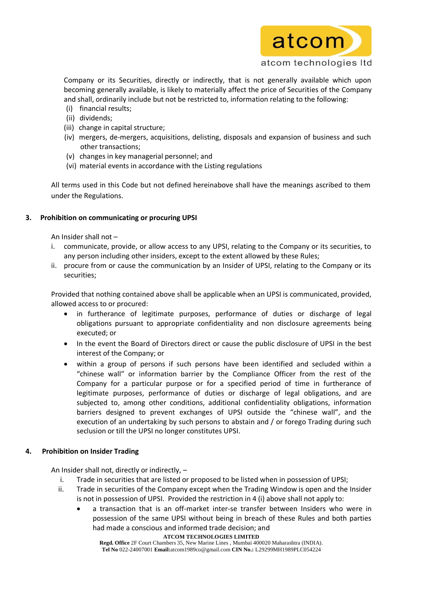

Company or its Securities, directly or indirectly, that is not generally available which upon becoming generally available, is likely to materially affect the price of Securities of the Company and shall, ordinarily include but not be restricted to, information relating to the following:

- (i) financial results;
- (ii) dividends;
- (iii) change in capital structure;
- (iv) mergers, de-mergers, acquisitions, delisting, disposals and expansion of business and such other transactions;
- (v) changes in key managerial personnel; and
- (vi) material events in accordance with the Listing regulations

All terms used in this Code but not defined hereinabove shall have the meanings ascribed to them under the Regulations.

# **3. Prohibition on communicating or procuring UPSI**

An Insider shall not –

- i. communicate, provide, or allow access to any UPSI, relating to the Company or its securities, to any person including other insiders, except to the extent allowed by these Rules;
- ii. procure from or cause the communication by an Insider of UPSI, relating to the Company or its securities;

Provided that nothing contained above shall be applicable when an UPSI is communicated, provided, allowed access to or procured:

- in furtherance of legitimate purposes, performance of duties or discharge of legal obligations pursuant to appropriate confidentiality and non disclosure agreements being executed; or
- In the event the Board of Directors direct or cause the public disclosure of UPSI in the best interest of the Company; or
- within a group of persons if such persons have been identified and secluded within a "chinese wall" or information barrier by the Compliance Officer from the rest of the Company for a particular purpose or for a specified period of time in furtherance of legitimate purposes, performance of duties or discharge of legal obligations, and are subjected to, among other conditions, additional confidentiality obligations, information barriers designed to prevent exchanges of UPSI outside the "chinese wall", and the execution of an undertaking by such persons to abstain and / or forego Trading during such seclusion or till the UPSI no longer constitutes UPSI.

# **4. Prohibition on Insider Trading**

An Insider shall not, directly or indirectly, –

- i. Trade in securities that are listed or proposed to be listed when in possession of UPSI;
- ii. Trade in securities of the Company except when the Trading Window is open and the Insider is not in possession of UPSI. Provided the restriction in 4 (i) above shall not apply to:
	- a transaction that is an off-market inter-se transfer between Insiders who were in possession of the same UPSI without being in breach of these Rules and both parties had made a conscious and informed trade decision; and

**ATCOM TECHNOLOGIES LIMITED**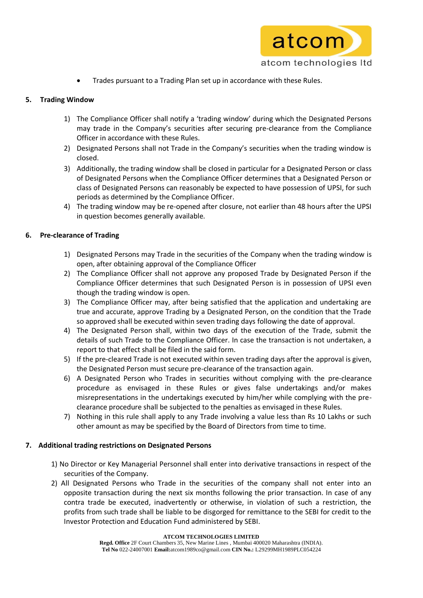

Trades pursuant to a Trading Plan set up in accordance with these Rules.

# **5. Trading Window**

- 1) The Compliance Officer shall notify a 'trading window' during which the Designated Persons may trade in the Company's securities after securing pre-clearance from the Compliance Officer in accordance with these Rules.
- 2) Designated Persons shall not Trade in the Company's securities when the trading window is closed.
- 3) Additionally, the trading window shall be closed in particular for a Designated Person or class of Designated Persons when the Compliance Officer determines that a Designated Person or class of Designated Persons can reasonably be expected to have possession of UPSI, for such periods as determined by the Compliance Officer.
- 4) The trading window may be re-opened after closure, not earlier than 48 hours after the UPSI in question becomes generally available.

# **6. Pre-clearance of Trading**

- 1) Designated Persons may Trade in the securities of the Company when the trading window is open, after obtaining approval of the Compliance Officer
- 2) The Compliance Officer shall not approve any proposed Trade by Designated Person if the Compliance Officer determines that such Designated Person is in possession of UPSI even though the trading window is open.
- 3) The Compliance Officer may, after being satisfied that the application and undertaking are true and accurate, approve Trading by a Designated Person, on the condition that the Trade so approved shall be executed within seven trading days following the date of approval.
- 4) The Designated Person shall, within two days of the execution of the Trade, submit the details of such Trade to the Compliance Officer. In case the transaction is not undertaken, a report to that effect shall be filed in the said form.
- 5) If the pre-cleared Trade is not executed within seven trading days after the approval is given, the Designated Person must secure pre-clearance of the transaction again.
- 6) A Designated Person who Trades in securities without complying with the pre-clearance procedure as envisaged in these Rules or gives false undertakings and/or makes misrepresentations in the undertakings executed by him/her while complying with the preclearance procedure shall be subjected to the penalties as envisaged in these Rules.
- 7) Nothing in this rule shall apply to any Trade involving a value less than Rs 10 Lakhs or such other amount as may be specified by the Board of Directors from time to time.

# **7. Additional trading restrictions on Designated Persons**

- 1) No Director or Key Managerial Personnel shall enter into derivative transactions in respect of the securities of the Company.
- 2) All Designated Persons who Trade in the securities of the company shall not enter into an opposite transaction during the next six months following the prior transaction. In case of any contra trade be executed, inadvertently or otherwise, in violation of such a restriction, the profits from such trade shall be liable to be disgorged for remittance to the SEBI for credit to the Investor Protection and Education Fund administered by SEBI.

**ATCOM TECHNOLOGIES LIMITED**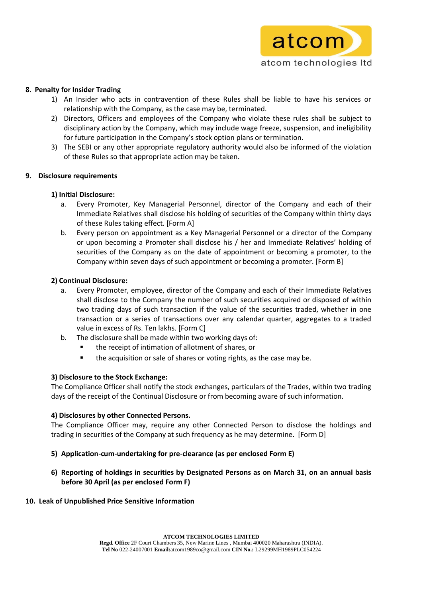

## **8**. **Penalty for Insider Trading**

- 1) An Insider who acts in contravention of these Rules shall be liable to have his services or relationship with the Company, as the case may be, terminated.
- 2) Directors, Officers and employees of the Company who violate these rules shall be subject to disciplinary action by the Company, which may include wage freeze, suspension, and ineligibility for future participation in the Company's stock option plans or termination.
- 3) The SEBI or any other appropriate regulatory authority would also be informed of the violation of these Rules so that appropriate action may be taken.

### **9. Disclosure requirements**

# **1) Initial Disclosure:**

- a. Every Promoter, Key Managerial Personnel, director of the Company and each of their Immediate Relatives shall disclose his holding of securities of the Company within thirty days of these Rules taking effect. [Form A]
- b. Every person on appointment as a Key Managerial Personnel or a director of the Company or upon becoming a Promoter shall disclose his / her and Immediate Relatives' holding of securities of the Company as on the date of appointment or becoming a promoter, to the Company within seven days of such appointment or becoming a promoter. [Form B]

# **2) Continual Disclosure:**

- a. Every Promoter, employee, director of the Company and each of their Immediate Relatives shall disclose to the Company the number of such securities acquired or disposed of within two trading days of such transaction if the value of the securities traded, whether in one transaction or a series of transactions over any calendar quarter, aggregates to a traded value in excess of Rs. Ten lakhs. [Form C]
- b. The disclosure shall be made within two working days of:
	- the receipt of intimation of allotment of shares, or
	- **the acquisition or sale of shares or voting rights, as the case may be.**

# **3) Disclosure to the Stock Exchange:**

The Compliance Officer shall notify the stock exchanges, particulars of the Trades, within two trading days of the receipt of the Continual Disclosure or from becoming aware of such information.

# **4) Disclosures by other Connected Persons.**

The Compliance Officer may, require any other Connected Person to disclose the holdings and trading in securities of the Company at such frequency as he may determine. [Form D]

# **5) Application-cum-undertaking for pre-clearance (as per enclosed Form E)**

**6) Reporting of holdings in securities by Designated Persons as on March 31, on an annual basis before 30 April (as per enclosed Form F)**

### **10. Leak of Unpublished Price Sensitive Information**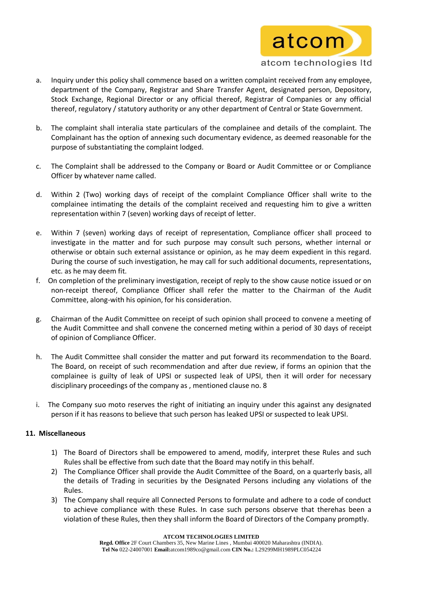

- a. Inquiry under this policy shall commence based on a written complaint received from any employee, department of the Company, Registrar and Share Transfer Agent, designated person, Depository, Stock Exchange, Regional Director or any official thereof, Registrar of Companies or any official thereof, regulatory / statutory authority or any other department of Central or State Government.
- b. The complaint shall interalia state particulars of the complainee and details of the complaint. The Complainant has the option of annexing such documentary evidence, as deemed reasonable for the purpose of substantiating the complaint lodged.
- c. The Complaint shall be addressed to the Company or Board or Audit Committee or or Compliance Officer by whatever name called.
- d. Within 2 (Two) working days of receipt of the complaint Compliance Officer shall write to the complainee intimating the details of the complaint received and requesting him to give a written representation within 7 (seven) working days of receipt of letter.
- e. Within 7 (seven) working days of receipt of representation, Compliance officer shall proceed to investigate in the matter and for such purpose may consult such persons, whether internal or otherwise or obtain such external assistance or opinion, as he may deem expedient in this regard. During the course of such investigation, he may call for such additional documents, representations, etc. as he may deem fit.
- f. On completion of the preliminary investigation, receipt of reply to the show cause notice issued or on non-receipt thereof, Compliance Officer shall refer the matter to the Chairman of the Audit Committee, along-with his opinion, for his consideration.
- g. Chairman of the Audit Committee on receipt of such opinion shall proceed to convene a meeting of the Audit Committee and shall convene the concerned meting within a period of 30 days of receipt of opinion of Compliance Officer.
- h. The Audit Committee shall consider the matter and put forward its recommendation to the Board. The Board, on receipt of such recommendation and after due review, if forms an opinion that the complainee is guilty of leak of UPSI or suspected leak of UPSI, then it will order for necessary disciplinary proceedings of the company as , mentioned clause no. 8
- i. The Company suo moto reserves the right of initiating an inquiry under this against any designated person if it has reasons to believe that such person has leaked UPSI or suspected to leak UPSI.

# **11. Miscellaneous**

- 1) The Board of Directors shall be empowered to amend, modify, interpret these Rules and such Rules shall be effective from such date that the Board may notify in this behalf.
- 2) The Compliance Officer shall provide the Audit Committee of the Board, on a quarterly basis, all the details of Trading in securities by the Designated Persons including any violations of the Rules.
- 3) The Company shall require all Connected Persons to formulate and adhere to a code of conduct to achieve compliance with these Rules. In case such persons observe that therehas been a violation of these Rules, then they shall inform the Board of Directors of the Company promptly.

**ATCOM TECHNOLOGIES LIMITED**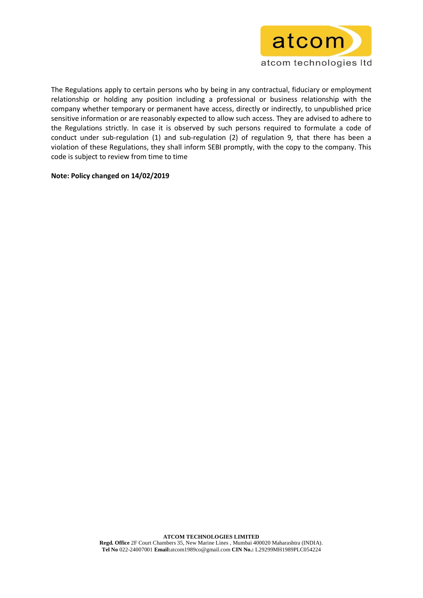

The Regulations apply to certain persons who by being in any contractual, fiduciary or employment relationship or holding any position including a professional or business relationship with the company whether temporary or permanent have access, directly or indirectly, to unpublished price sensitive information or are reasonably expected to allow such access. They are advised to adhere to the Regulations strictly. In case it is observed by such persons required to formulate a code of conduct under sub-regulation (1) and sub-regulation (2) of regulation 9, that there has been a violation of these Regulations, they shall inform SEBI promptly, with the copy to the company. This code is subject to review from time to time

### **Note: Policy changed on 14/02/2019**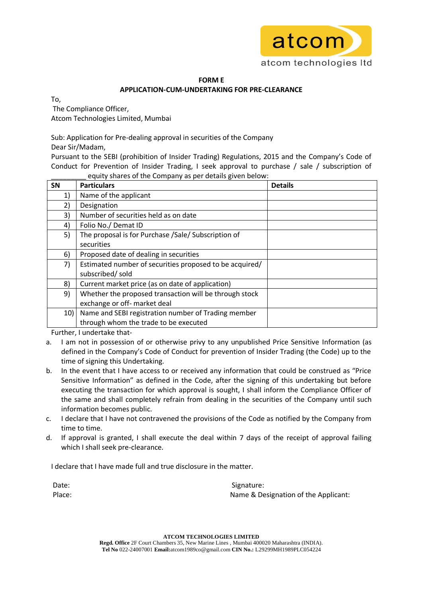

# **FORM E APPLICATION-CUM-UNDERTAKING FOR PRE-CLEARANCE**

To, The Compliance Officer, Atcom Technologies Limited, Mumbai

Sub: Application for Pre-dealing approval in securities of the Company Dear Sir/Madam,

Pursuant to the SEBI (prohibition of Insider Trading) Regulations, 2015 and the Company's Code of Conduct for Prevention of Insider Trading, I seek approval to purchase / sale / subscription of equity shares of the Company as per details given below:

| SN  | <b>Particulars</b>                                      | <b>Details</b> |
|-----|---------------------------------------------------------|----------------|
| 1)  | Name of the applicant                                   |                |
| 2)  | Designation                                             |                |
| 3)  | Number of securities held as on date                    |                |
| 4)  | Folio No./ Demat ID                                     |                |
| 5)  | The proposal is for Purchase /Sale/ Subscription of     |                |
|     | securities                                              |                |
| 6)  | Proposed date of dealing in securities                  |                |
| 7)  | Estimated number of securities proposed to be acquired/ |                |
|     | subscribed/ sold                                        |                |
| 8)  | Current market price (as on date of application)        |                |
| 9)  | Whether the proposed transaction will be through stock  |                |
|     | exchange or off- market deal                            |                |
| 10) | Name and SEBI registration number of Trading member     |                |
|     | through whom the trade to be executed                   |                |

Further, I undertake that-

- a. I am not in possession of or otherwise privy to any unpublished Price Sensitive Information (as defined in the Company's Code of Conduct for prevention of Insider Trading (the Code) up to the time of signing this Undertaking.
- b. In the event that I have access to or received any information that could be construed as "Price Sensitive Information" as defined in the Code, after the signing of this undertaking but before executing the transaction for which approval is sought, I shall inform the Compliance Officer of the same and shall completely refrain from dealing in the securities of the Company until such information becomes public.
- c. I declare that I have not contravened the provisions of the Code as notified by the Company from time to time.
- d. If approval is granted, I shall execute the deal within 7 days of the receipt of approval failing which I shall seek pre-clearance.

I declare that I have made full and true disclosure in the matter.

Date: Signature: Signature: Signature: Signature: Signature: Signature: Signature: Signature: Signature: Signature: Signature: Signature: Signature: Signature: Signature: Signature: Signature: Signature: Signature: Signatu Place: Name & Designation of the Applicant: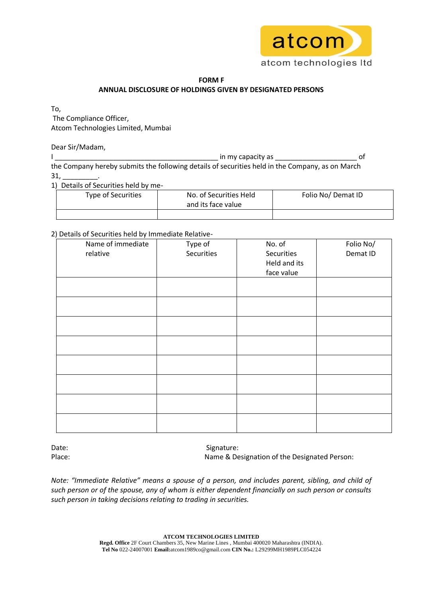

# **FORM F ANNUAL DISCLOSURE OF HOLDINGS GIVEN BY DESIGNATED PERSONS**

To,

The Compliance Officer, Atcom Technologies Limited, Mumbai

Dear Sir/Madam,

I \_\_\_\_\_\_\_\_\_\_\_\_\_\_\_\_\_\_\_\_\_\_\_\_\_\_\_\_\_\_\_\_\_\_\_\_\_\_\_\_\_\_ in my capacity as \_\_\_\_\_\_\_\_\_\_\_\_\_\_\_\_\_\_\_\_\_ of the Company hereby submits the following details of securities held in the Company, as on March  $31,$ 

1) Details of Securities held by me-

| Type of Securities | No. of Securities Held<br>and its face value | Folio No/Demat ID |
|--------------------|----------------------------------------------|-------------------|
|                    |                                              |                   |

# 2) Details of Securities held by Immediate Relative-

| f Details of Securities field by immediate Neiative- |            |              |           |  |  |
|------------------------------------------------------|------------|--------------|-----------|--|--|
| Name of immediate                                    | Type of    | No. of       | Folio No/ |  |  |
| relative                                             | Securities | Securities   | Demat ID  |  |  |
|                                                      |            | Held and its |           |  |  |
|                                                      |            | face value   |           |  |  |
|                                                      |            |              |           |  |  |
|                                                      |            |              |           |  |  |
|                                                      |            |              |           |  |  |
|                                                      |            |              |           |  |  |
|                                                      |            |              |           |  |  |
|                                                      |            |              |           |  |  |
|                                                      |            |              |           |  |  |
|                                                      |            |              |           |  |  |
|                                                      |            |              |           |  |  |
|                                                      |            |              |           |  |  |
|                                                      |            |              |           |  |  |
|                                                      |            |              |           |  |  |
|                                                      |            |              |           |  |  |
|                                                      |            |              |           |  |  |
|                                                      |            |              |           |  |  |
|                                                      |            |              |           |  |  |
|                                                      |            |              |           |  |  |

Date: Signature: Place: Name & Designation of the Designated Person:

*Note: "Immediate Relative" means a spouse of a person, and includes parent, sibling, and child of such person or of the spouse, any of whom is either dependent financially on such person or consults such person in taking decisions relating to trading in securities.*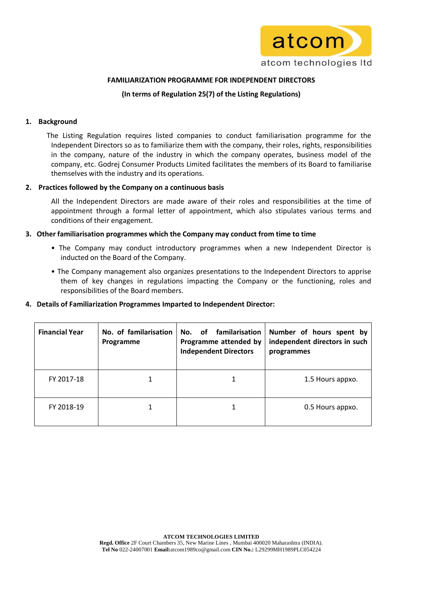

## **FAMILIARIZATION PROGRAMME FOR INDEPENDENT DIRECTORS**

# **(In terms of Regulation 25(7) of the Listing Regulations)**

### **1. Background**

 The Listing Regulation requires listed companies to conduct familiarisation programme for the Independent Directors so as to familiarize them with the company, their roles, rights, responsibilities in the company, nature of the industry in which the company operates, business model of the company, etc. Godrej Consumer Products Limited facilitates the members of its Board to familiarise themselves with the industry and its operations.

### **2. Practices followed by the Company on a continuous basis**

All the Independent Directors are made aware of their roles and responsibilities at the time of appointment through a formal letter of appointment, which also stipulates various terms and conditions of their engagement.

### **3. Other familiarisation programmes which the Company may conduct from time to time**

- The Company may conduct introductory programmes when a new Independent Director is inducted on the Board of the Company.
- The Company management also organizes presentations to the Independent Directors to apprise them of key changes in regulations impacting the Company or the functioning, roles and responsibilities of the Board members.

### **4. Details of Familiarization Programmes Imparted to Independent Director:**

| <b>Financial Year</b> | No. of familarisation<br>Programme | familarisation<br>No.<br>of<br>Programme attended by<br><b>Independent Directors</b> | Number of hours spent by<br>independent directors in such<br>programmes |
|-----------------------|------------------------------------|--------------------------------------------------------------------------------------|-------------------------------------------------------------------------|
| FY 2017-18            |                                    | 1                                                                                    | 1.5 Hours appxo.                                                        |
| FY 2018-19            |                                    | 1                                                                                    | 0.5 Hours appxo.                                                        |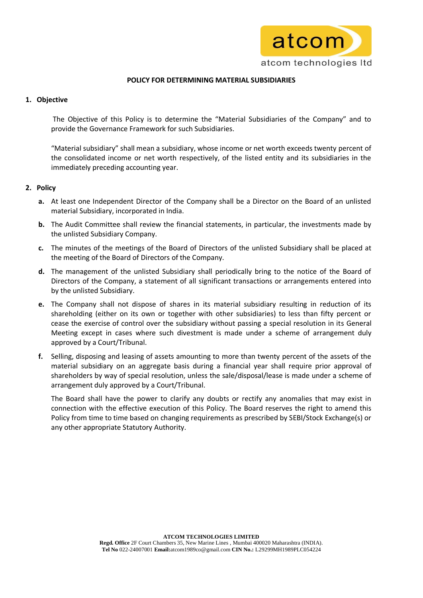

# **POLICY FOR DETERMINING MATERIAL SUBSIDIARIES**

# **1. Objective**

The Objective of this Policy is to determine the "Material Subsidiaries of the Company" and to provide the Governance Framework for such Subsidiaries.

"Material subsidiary" shall mean a subsidiary, whose income or net worth exceeds twenty percent of the consolidated income or net worth respectively, of the listed entity and its subsidiaries in the immediately preceding accounting year.

# **2. Policy**

- **a.** At least one Independent Director of the Company shall be a Director on the Board of an unlisted material Subsidiary, incorporated in India.
- **b.** The Audit Committee shall review the financial statements, in particular, the investments made by the unlisted Subsidiary Company.
- **c.** The minutes of the meetings of the Board of Directors of the unlisted Subsidiary shall be placed at the meeting of the Board of Directors of the Company.
- **d.** The management of the unlisted Subsidiary shall periodically bring to the notice of the Board of Directors of the Company, a statement of all significant transactions or arrangements entered into by the unlisted Subsidiary.
- **e.** The Company shall not dispose of shares in its material subsidiary resulting in reduction of its shareholding (either on its own or together with other subsidiaries) to less than fifty percent or cease the exercise of control over the subsidiary without passing a special resolution in its General Meeting except in cases where such divestment is made under a scheme of arrangement duly approved by a Court/Tribunal.
- **f.** Selling, disposing and leasing of assets amounting to more than twenty percent of the assets of the material subsidiary on an aggregate basis during a financial year shall require prior approval of shareholders by way of special resolution, unless the sale/disposal/lease is made under a scheme of arrangement duly approved by a Court/Tribunal.

The Board shall have the power to clarify any doubts or rectify any anomalies that may exist in connection with the effective execution of this Policy. The Board reserves the right to amend this Policy from time to time based on changing requirements as prescribed by SEBI/Stock Exchange(s) or any other appropriate Statutory Authority.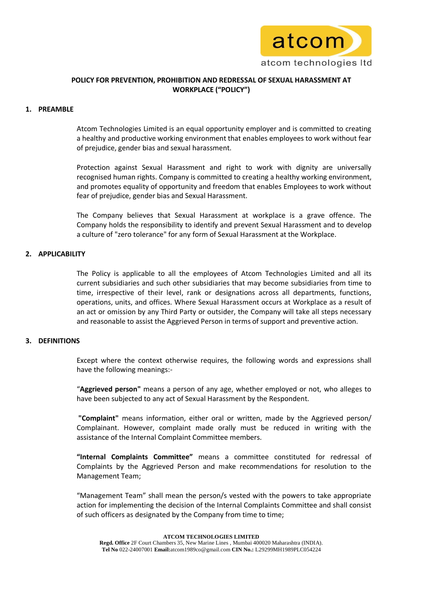

# **POLICY FOR PREVENTION, PROHIBITION AND REDRESSAL OF SEXUAL HARASSMENT AT WORKPLACE ("POLICY")**

## **1. PREAMBLE**

Atcom Technologies Limited is an equal opportunity employer and is committed to creating a healthy and productive working environment that enables employees to work without fear of prejudice, gender bias and sexual harassment.

Protection against Sexual Harassment and right to work with dignity are universally recognised human rights. Company is committed to creating a healthy working environment, and promotes equality of opportunity and freedom that enables Employees to work without fear of prejudice, gender bias and Sexual Harassment.

The Company believes that Sexual Harassment at workplace is a grave offence. The Company holds the responsibility to identify and prevent Sexual Harassment and to develop a culture of "zero tolerance" for any form of Sexual Harassment at the Workplace.

## **2. APPLICABILITY**

The Policy is applicable to all the employees of Atcom Technologies Limited and all its current subsidiaries and such other subsidiaries that may become subsidiaries from time to time, irrespective of their level, rank or designations across all departments, functions, operations, units, and offices. Where Sexual Harassment occurs at Workplace as a result of an act or omission by any Third Party or outsider, the Company will take all steps necessary and reasonable to assist the Aggrieved Person in terms of support and preventive action.

### **3. DEFINITIONS**

Except where the context otherwise requires, the following words and expressions shall have the following meanings:-

"**Aggrieved person"** means a person of any age, whether employed or not, who alleges to have been subjected to any act of Sexual Harassment by the Respondent.

**"Complaint"** means information, either oral or written, made by the Aggrieved person/ Complainant. However, complaint made orally must be reduced in writing with the assistance of the Internal Complaint Committee members.

**"Internal Complaints Committee"** means a committee constituted for redressal of Complaints by the Aggrieved Person and make recommendations for resolution to the Management Team;

"Management Team" shall mean the person/s vested with the powers to take appropriate action for implementing the decision of the Internal Complaints Committee and shall consist of such officers as designated by the Company from time to time;

**Tel No** 022-24007001 **Email:**atcom1989co@gmail.com **CIN No.:** L29299MH1989PLC054224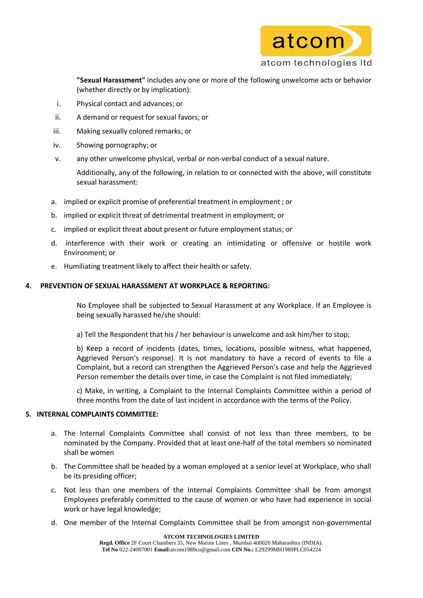

**"Sexual Harassment"** includes any one or more of the following unwelcome acts or behavior (whether directly or by implication):

- i. Physical contact and advances; or
- ii. A demand or request for sexual favors; or
- iii. Making sexually colored remarks; or
- iv. Showing pornography; or
- v. any other unwelcome physical, verbal or non-verbal conduct of a sexual nature.

Additionally, any of the following, in relation to or connected with the above, will constitute sexual harassment:

- a. implied or explicit promise of preferential treatment in employment ; or
- b. implied or explicit threat of detrimental treatment in employment; or
- c. implied or explicit threat about present or future employment status; or
- d. interference with their work or creating an intimidating or offensive or hostile work Environment; or
- e. Humiliating treatment likely to affect their health or safety.

# **4. PREVENTION OF SEXUAL HARASSMENT AT WORKPLACE & REPORTING:**

No Employee shall be subjected to Sexual Harassment at any Workplace. If an Employee is being sexually harassed he/she should:

a) Tell the Respondent that his / her behaviour is unwelcome and ask him/her to stop;

b) Keep a record of incidents (dates, times, locations, possible witness, what happened, Aggrieved Person's response). It is not mandatory to have a record of events to file a Complaint, but a record can strengthen the Aggrieved Person's case and help the Aggrieved Person remember the details over time, in case the Complaint is not filed immediately;

c) Make, in writing, a Complaint to the Internal Complaints Committee within a period of three months from the date of last incident in accordance with the terms of the Policy.

# **5. INTERNAL COMPLAINTS COMMITTEE:**

- a. The Internal Complaints Committee shall consist of not less than three members, to be nominated by the Company. Provided that at least one-half of the total members so nominated shall be women
- b. The Committee shall be headed by a woman employed at a senior level at Workplace, who shall be its presiding officer;
- c. Not less than one members of the Internal Complaints Committee shall be from amongst Employees preferably committed to the cause of women or who have had experience in social work or have legal knowledge;
- d. One member of the Internal Complaints Committee shall be from amongst non-governmental

**ATCOM TECHNOLOGIES LIMITED**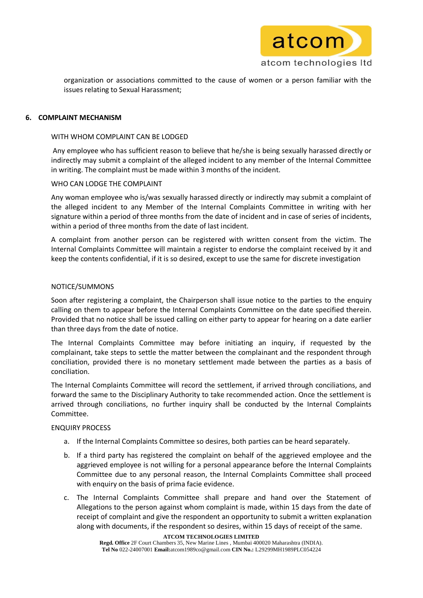

organization or associations committed to the cause of women or a person familiar with the issues relating to Sexual Harassment;

### **6. COMPLAINT MECHANISM**

### WITH WHOM COMPLAINT CAN BE LODGED

Any employee who has sufficient reason to believe that he/she is being sexually harassed directly or indirectly may submit a complaint of the alleged incident to any member of the Internal Committee in writing. The complaint must be made within 3 months of the incident.

### WHO CAN LODGE THE COMPLAINT

Any woman employee who is/was sexually harassed directly or indirectly may submit a complaint of the alleged incident to any Member of the Internal Complaints Committee in writing with her signature within a period of three months from the date of incident and in case of series of incidents, within a period of three months from the date of last incident.

A complaint from another person can be registered with written consent from the victim. The Internal Complaints Committee will maintain a register to endorse the complaint received by it and keep the contents confidential, if it is so desired, except to use the same for discrete investigation

### NOTICE/SUMMONS

Soon after registering a complaint, the Chairperson shall issue notice to the parties to the enquiry calling on them to appear before the Internal Complaints Committee on the date specified therein. Provided that no notice shall be issued calling on either party to appear for hearing on a date earlier than three days from the date of notice.

The Internal Complaints Committee may before initiating an inquiry, if requested by the complainant, take steps to settle the matter between the complainant and the respondent through conciliation, provided there is no monetary settlement made between the parties as a basis of conciliation.

The Internal Complaints Committee will record the settlement, if arrived through conciliations, and forward the same to the Disciplinary Authority to take recommended action. Once the settlement is arrived through conciliations, no further inquiry shall be conducted by the Internal Complaints Committee.

# ENQUIRY PROCESS

- a. If the Internal Complaints Committee so desires, both parties can be heard separately.
- b. If a third party has registered the complaint on behalf of the aggrieved employee and the aggrieved employee is not willing for a personal appearance before the Internal Complaints Committee due to any personal reason, the Internal Complaints Committee shall proceed with enquiry on the basis of prima facie evidence.
- c. The Internal Complaints Committee shall prepare and hand over the Statement of Allegations to the person against whom complaint is made, within 15 days from the date of receipt of complaint and give the respondent an opportunity to submit a written explanation along with documents, if the respondent so desires, within 15 days of receipt of the same.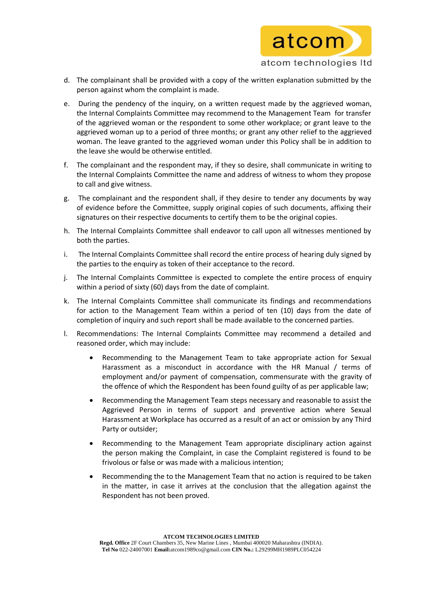

- d. The complainant shall be provided with a copy of the written explanation submitted by the person against whom the complaint is made.
- e. During the pendency of the inquiry, on a written request made by the aggrieved woman, the Internal Complaints Committee may recommend to the Management Team for transfer of the aggrieved woman or the respondent to some other workplace; or grant leave to the aggrieved woman up to a period of three months; or grant any other relief to the aggrieved woman. The leave granted to the aggrieved woman under this Policy shall be in addition to the leave she would be otherwise entitled.
- f. The complainant and the respondent may, if they so desire, shall communicate in writing to the Internal Complaints Committee the name and address of witness to whom they propose to call and give witness.
- g. The complainant and the respondent shall, if they desire to tender any documents by way of evidence before the Committee, supply original copies of such documents, affixing their signatures on their respective documents to certify them to be the original copies.
- h. The Internal Complaints Committee shall endeavor to call upon all witnesses mentioned by both the parties.
- i. The Internal Complaints Committee shall record the entire process of hearing duly signed by the parties to the enquiry as token of their acceptance to the record.
- j. The Internal Complaints Committee is expected to complete the entire process of enquiry within a period of sixty (60) days from the date of complaint.
- k. The Internal Complaints Committee shall communicate its findings and recommendations for action to the Management Team within a period of ten (10) days from the date of completion of inquiry and such report shall be made available to the concerned parties.
- l. Recommendations: The Internal Complaints Committee may recommend a detailed and reasoned order, which may include:
	- Recommending to the Management Team to take appropriate action for Sexual Harassment as a misconduct in accordance with the HR Manual / terms of employment and/or payment of compensation, commensurate with the gravity of the offence of which the Respondent has been found guilty of as per applicable law;
	- Recommending the Management Team steps necessary and reasonable to assist the Aggrieved Person in terms of support and preventive action where Sexual Harassment at Workplace has occurred as a result of an act or omission by any Third Party or outsider;
	- Recommending to the Management Team appropriate disciplinary action against the person making the Complaint, in case the Complaint registered is found to be frivolous or false or was made with a malicious intention;
	- Recommending the to the Management Team that no action is required to be taken in the matter, in case it arrives at the conclusion that the allegation against the Respondent has not been proved.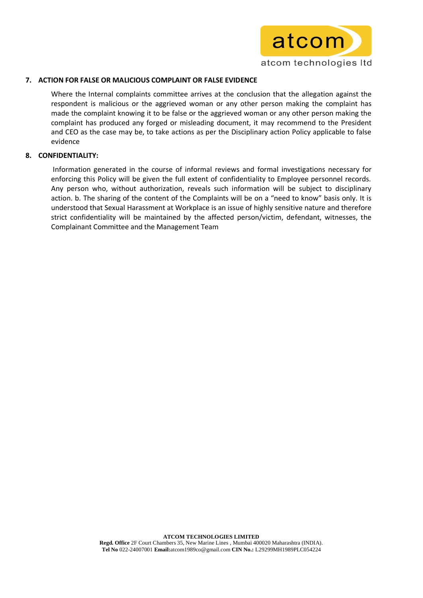

## **7. ACTION FOR FALSE OR MALICIOUS COMPLAINT OR FALSE EVIDENCE**

Where the Internal complaints committee arrives at the conclusion that the allegation against the respondent is malicious or the aggrieved woman or any other person making the complaint has made the complaint knowing it to be false or the aggrieved woman or any other person making the complaint has produced any forged or misleading document, it may recommend to the President and CEO as the case may be, to take actions as per the Disciplinary action Policy applicable to false evidence

### **8. CONFIDENTIALITY:**

Information generated in the course of informal reviews and formal investigations necessary for enforcing this Policy will be given the full extent of confidentiality to Employee personnel records. Any person who, without authorization, reveals such information will be subject to disciplinary action. b. The sharing of the content of the Complaints will be on a "need to know" basis only. It is understood that Sexual Harassment at Workplace is an issue of highly sensitive nature and therefore strict confidentiality will be maintained by the affected person/victim, defendant, witnesses, the Complainant Committee and the Management Team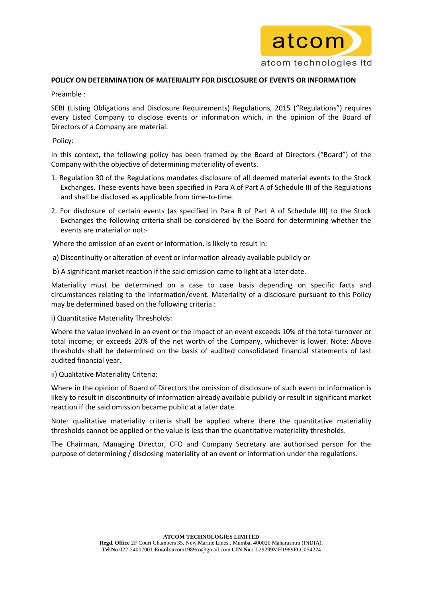

## **POLICY ON DETERMINATION OF MATERIALITY FOR DISCLOSURE OF EVENTS OR INFORMATION**

Preamble :

SEBI (Listing Obligations and Disclosure Requirements) Regulations, 2015 ("Regulations") requires every Listed Company to disclose events or information which, in the opinion of the Board of Directors of a Company are material.

Policy:

In this context, the following policy has been framed by the Board of Directors ("Board") of the Company with the objective of determining materiality of events.

- 1. Regulation 30 of the Regulations mandates disclosure of all deemed material events to the Stock Exchanges. These events have been specified in Para A of Part A of Schedule III of the Regulations and shall be disclosed as applicable from time-to-time.
- 2. For disclosure of certain events (as specified in Para B of Part A of Schedule III) to the Stock Exchanges the following criteria shall be considered by the Board for determining whether the events are material or not:-

Where the omission of an event or information, is likely to result in:

- a) Discontinuity or alteration of event or information already available publicly or
- b) A significant market reaction if the said omission came to light at a later date.

Materiality must be determined on a case to case basis depending on specific facts and circumstances relating to the information/event. Materiality of a disclosure pursuant to this Policy may be determined based on the following criteria :

i) Quantitative Materiality Thresholds:

Where the value involved in an event or the impact of an event exceeds 10% of the total turnover or total income; or exceeds 20% of the net worth of the Company, whichever is lower. Note: Above thresholds shall be determined on the basis of audited consolidated financial statements of last audited financial year.

ii) Qualitative Materiality Criteria:

Where in the opinion of Board of Directors the omission of disclosure of such event or information is likely to result in discontinuity of information already available publicly or result in significant market reaction if the said omission became public at a later date.

Note: qualitative materiality criteria shall be applied where there the quantitative materiality thresholds cannot be applied or the value is less than the quantitative materiality thresholds.

The Chairman, Managing Director, CFO and Company Secretary are authorised person for the purpose of determining / disclosing materiality of an event or information under the regulations.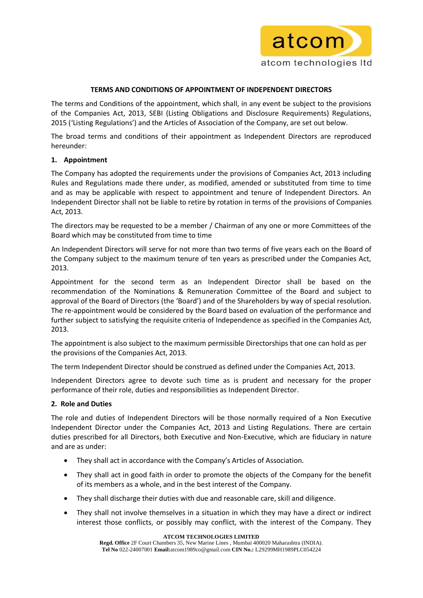

## **TERMS AND CONDITIONS OF APPOINTMENT OF INDEPENDENT DIRECTORS**

The terms and Conditions of the appointment, which shall, in any event be subject to the provisions of the Companies Act, 2013, SEBI (Listing Obligations and Disclosure Requirements) Regulations, 2015 ('Listing Regulations') and the Articles of Association of the Company, are set out below.

The broad terms and conditions of their appointment as Independent Directors are reproduced hereunder:

# **1. Appointment**

The Company has adopted the requirements under the provisions of Companies Act, 2013 including Rules and Regulations made there under, as modified, amended or substituted from time to time and as may be applicable with respect to appointment and tenure of Independent Directors. An Independent Director shall not be liable to retire by rotation in terms of the provisions of Companies Act, 2013.

The directors may be requested to be a member / Chairman of any one or more Committees of the Board which may be constituted from time to time

An Independent Directors will serve for not more than two terms of five years each on the Board of the Company subject to the maximum tenure of ten years as prescribed under the Companies Act, 2013.

Appointment for the second term as an Independent Director shall be based on the recommendation of the Nominations & Remuneration Committee of the Board and subject to approval of the Board of Directors (the 'Board') and of the Shareholders by way of special resolution. The re-appointment would be considered by the Board based on evaluation of the performance and further subject to satisfying the requisite criteria of Independence as specified in the Companies Act, 2013.

The appointment is also subject to the maximum permissible Directorships that one can hold as per the provisions of the Companies Act, 2013.

The term Independent Director should be construed as defined under the Companies Act, 2013.

Independent Directors agree to devote such time as is prudent and necessary for the proper performance of their role, duties and responsibilities as Independent Director.

# **2. Role and Duties**

The role and duties of Independent Directors will be those normally required of a Non Executive Independent Director under the Companies Act, 2013 and Listing Regulations. There are certain duties prescribed for all Directors, both Executive and Non-Executive, which are fiduciary in nature and are as under:

- They shall act in accordance with the Company's Articles of Association.
- They shall act in good faith in order to promote the objects of the Company for the benefit of its members as a whole, and in the best interest of the Company.
- They shall discharge their duties with due and reasonable care, skill and diligence.
- They shall not involve themselves in a situation in which they may have a direct or indirect interest those conflicts, or possibly may conflict, with the interest of the Company. They